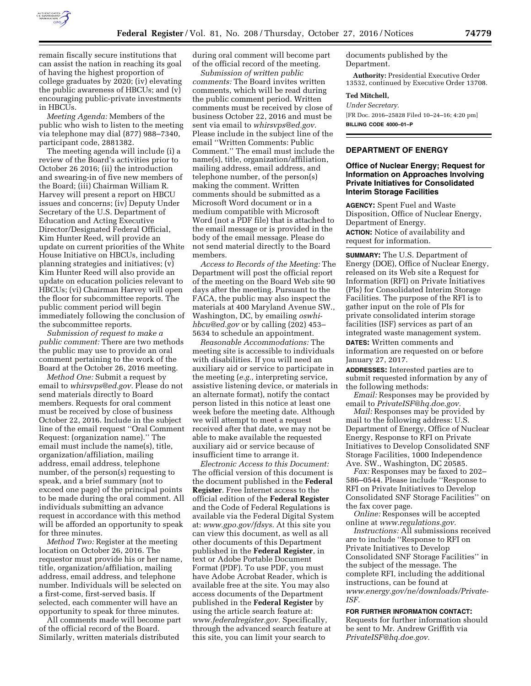

remain fiscally secure institutions that can assist the nation in reaching its goal of having the highest proportion of college graduates by 2020; (iv) elevating the public awareness of HBCUs; and (v) encouraging public-private investments in HBCUs.

*Meeting Agenda:* Members of the public who wish to listen to the meeting via telephone may dial (877) 988–7340, participant code, 2881382.

The meeting agenda will include (i) a review of the Board's activities prior to October 26 2016; (ii) the introduction and swearing-in of five new members of the Board; (iii) Chairman William R. Harvey will present a report on HBCU issues and concerns; (iv) Deputy Under Secretary of the U.S. Department of Education and Acting Executive Director/Designated Federal Official, Kim Hunter Reed, will provide an update on current priorities of the White House Initiative on HBCUs, including planning strategies and initiatives; (v) Kim Hunter Reed will also provide an update on education policies relevant to HBCUs; (vi) Chairman Harvey will open the floor for subcommittee reports. The public comment period will begin immediately following the conclusion of the subcommittee reports.

*Submission of request to make a public comment:* There are two methods the public may use to provide an oral comment pertaining to the work of the Board at the October 26, 2016 meeting.

*Method One:* Submit a request by email to *[whirsvps@ed.gov.](mailto:whirsvps@ed.gov)* Please do not send materials directly to Board members. Requests for oral comment must be received by close of business October 22, 2016. Include in the subject line of the email request ''Oral Comment Request: (organization name).'' The email must include the name(s), title, organization/affiliation, mailing address, email address, telephone number, of the person(s) requesting to speak, and a brief summary (not to exceed one page) of the principal points to be made during the oral comment. All individuals submitting an advance request in accordance with this method will be afforded an opportunity to speak for three minutes.

*Method Two:* Register at the meeting location on October 26, 2016. The requestor must provide his or her name, title, organization/affiliation, mailing address, email address, and telephone number. Individuals will be selected on a first-come, first-served basis. If selected, each commenter will have an opportunity to speak for three minutes.

All comments made will become part of the official record of the Board. Similarly, written materials distributed

during oral comment will become part of the official record of the meeting.

*Submission of written public comments:* The Board invites written comments, which will be read during the public comment period. Written comments must be received by close of business October 22, 2016 and must be sent via email to *[whirsvps@ed.gov.](mailto:whirsvps@ed.gov)*  Please include in the subject line of the email ''Written Comments: Public Comment.'' The email must include the name(s), title, organization/affiliation, mailing address, email address, and telephone number, of the person(s) making the comment. Written comments should be submitted as a Microsoft Word document or in a medium compatible with Microsoft Word (not a PDF file) that is attached to the email message or is provided in the body of the email message. Please do not send material directly to the Board members.

*Access to Records of the Meeting:* The Department will post the official report of the meeting on the Board Web site 90 days after the meeting. Pursuant to the FACA, the public may also inspect the materials at 400 Maryland Avenue SW., Washington, DC, by emailing *[oswhi](mailto:oswhi-hbcu@ed.gov)[hbcu@ed.gov](mailto:oswhi-hbcu@ed.gov)* or by calling (202) 453– 5634 to schedule an appointment.

*Reasonable Accommodations:* The meeting site is accessible to individuals with disabilities. If you will need an auxiliary aid or service to participate in the meeting (*e.g.,* interpreting service, assistive listening device, or materials in an alternate format), notify the contact person listed in this notice at least one week before the meeting date. Although we will attempt to meet a request received after that date, we may not be able to make available the requested auxiliary aid or service because of insufficient time to arrange it.

*Electronic Access to this Document:*  The official version of this document is the document published in the **Federal Register**. Free Internet access to the official edition of the **Federal Register**  and the Code of Federal Regulations is available via the Federal Digital System at: *[www.gpo.gov/fdsys.](http://www.gpo.gov/fdsys)* At this site you can view this document, as well as all other documents of this Department published in the **Federal Register**, in text or Adobe Portable Document Format (PDF). To use PDF, you must have Adobe Acrobat Reader, which is available free at the site. You may also access documents of the Department published in the **Federal Register** by using the article search feature at: *[www.federalregister.gov.](http://www.federalregister.gov)* Specifically, through the advanced search feature at this site, you can limit your search to

documents published by the Department.

**Authority:** Presidential Executive Order 13532, continued by Executive Order 13708.

#### **Ted Mitchell,**

*Under Secretary.* 

[FR Doc. 2016–25828 Filed 10–24–16; 4:20 pm] **BILLING CODE 4000–01–P** 

### **DEPARTMENT OF ENERGY**

### **Office of Nuclear Energy; Request for Information on Approaches Involving Private Initiatives for Consolidated Interim Storage Facilities**

**AGENCY:** Spent Fuel and Waste Disposition, Office of Nuclear Energy, Department of Energy. **ACTION:** Notice of availability and request for information.

**SUMMARY:** The U.S. Department of Energy (DOE), Office of Nuclear Energy, released on its Web site a Request for Information (RFI) on Private Initiatives (PIs) for Consolidated Interim Storage Facilities. The purpose of the RFI is to gather input on the role of PIs for private consolidated interim storage facilities (ISF) services as part of an integrated waste management system. **DATES:** Written comments and

information are requested on or before January 27, 2017.

**ADDRESSES:** Interested parties are to submit requested information by any of the following methods:

*Email:* Responses may be provided by email to *[PrivateISF@hq.doe.gov.](mailto:PrivateISF@hq.doe.gov)* 

*Mail:* Responses may be provided by mail to the following address: U.S. Department of Energy, Office of Nuclear Energy, Response to RFI on Private Initiatives to Develop Consolidated SNF Storage Facilities, 1000 Independence Ave. SW., Washington, DC 20585.

*Fax:* Responses may be faxed to 202– 586–0544. Please include ''Response to RFI on Private Initiatives to Develop Consolidated SNF Storage Facilities'' on the fax cover page.

*Online:* Responses will be accepted online at *[www.regulations.gov.](http://www.regulations.gov)* 

*Instructions:* All submissions received are to include ''Response to RFI on Private Initiatives to Develop Consolidated SNF Storage Facilities'' in the subject of the message. The complete RFI, including the additional instructions, can be found at *[www.energy.gov/ne/downloads/Private-](http://www.energy.gov/ne/downloads/Private-ISF)[ISF.](http://www.energy.gov/ne/downloads/Private-ISF)* 

#### **FOR FURTHER INFORMATION CONTACT:**

Requests for further information should be sent to Mr. Andrew Griffith via *[PrivateISF@hq.doe.gov.](mailto:PrivateISF@hq.doe.gov)*